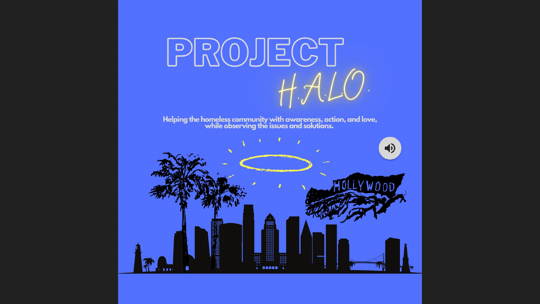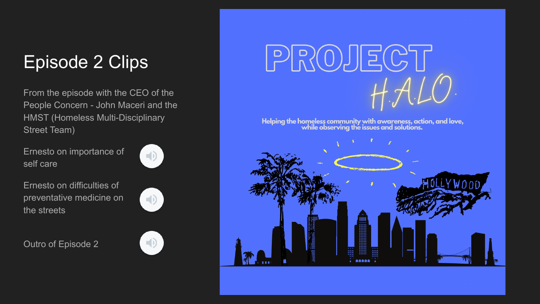## Episode 2 Clips

From the episode with the CEO of the People Concern - John Maceri and the HMST (Homeless Multi-Disciplinary Street Team)

Ernesto on importance of self care



Ernesto on difficulties of preventative medicine on the streets



Outro of Episode 2





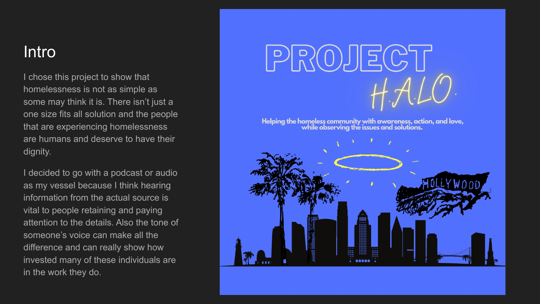#### **Intro**

I chose this project to show that homelessness is not as simple as some may think it is. There isn't just a one size fits all solution and the people that are experiencing homelessness are humans and deserve to have their dignity.

I decided to go with a podcast or audio as my vessel because I think hearing information from the actual source is vital to people retaining and paying attention to the details. Also the tone of someone's voice can make all the difference and can really show how invested many of these individuals are in the work they do.

# PROJECT

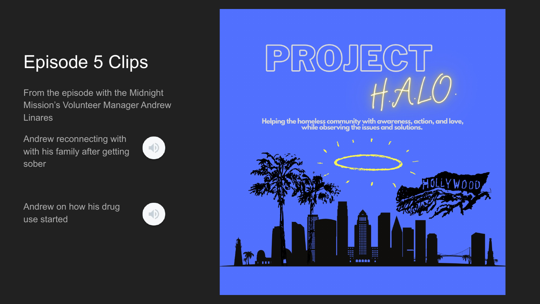## Episode 5 Clips

From the episode with the Midnight Mission's Volunteer Manager Andrew **Linares** 

Andrew reconnecting with with his family after getting sober



Andrew on how his drug use started





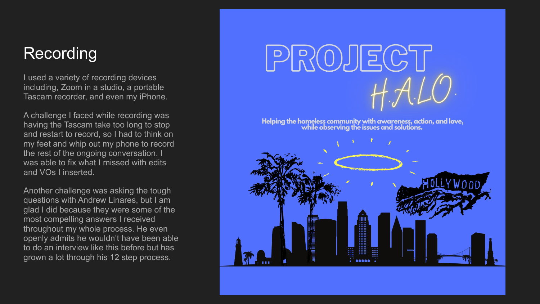#### Recording

I used a variety of recording devices including, Zoom in a studio, a portable Tascam recorder, and even my iPhone.

A challenge I faced while recording was having the Tascam take too long to stop and restart to record, so I had to think on my feet and whip out my phone to record the rest of the ongoing conversation. I was able to fix what I missed with edits and VOs I inserted.

Another challenge was asking the tough questions with Andrew Linares, but I am glad I did because they were some of the most compelling answers I received throughout my whole process. He even openly admits he wouldn't have been able to do an interview like this before but has grown a lot through his 12 step process.



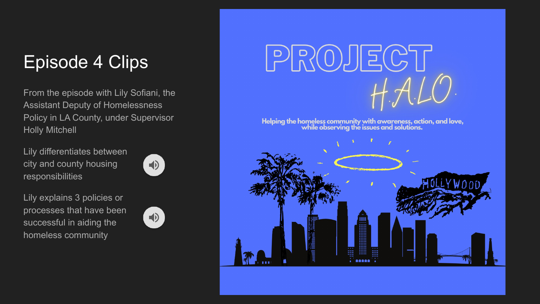## Episode 4 Clips

From the episode with Lily Sofiani, the Assistant Deputy of Homelessness Policy in LA County, under Supervisor Holly Mitchell

Lily differentiates between city and county housing responsibilities



Lily explains 3 policies or processes that have been successful in aiding the homeless community





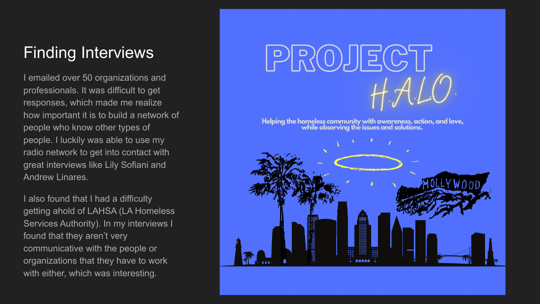#### Finding Interviews

I emailed over 50 organizations and professionals. It was difficult to get responses, which made me realize how important it is to build a network of people who know other types of people. I luckily was able to use my radio network to get into contact with great interviews like Lily Sofiani and Andrew Linares.

I also found that I had a difficulty getting ahold of LAHSA (LA Homeless Services Authority). In my interviews I found that they aren't very communicative with the people or organizations that they have to work with either, which was interesting.



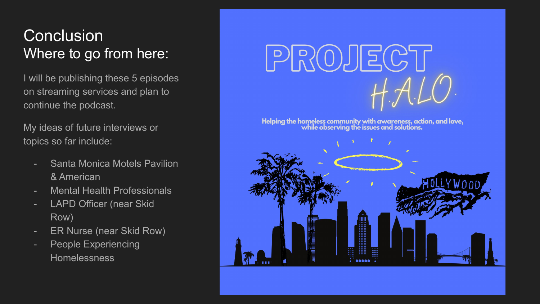#### **Conclusion** Where to go from here:

I will be publishing these 5 episodes on streaming services and plan to continue the podcast.

My ideas of future interviews or topics so far include:

- Santa Monica Motels Pavilion & American
- Mental Health Professionals
- LAPD Officer (near Skid Row)
- ER Nurse (near Skid Row)
- People Experiencing Homelessness